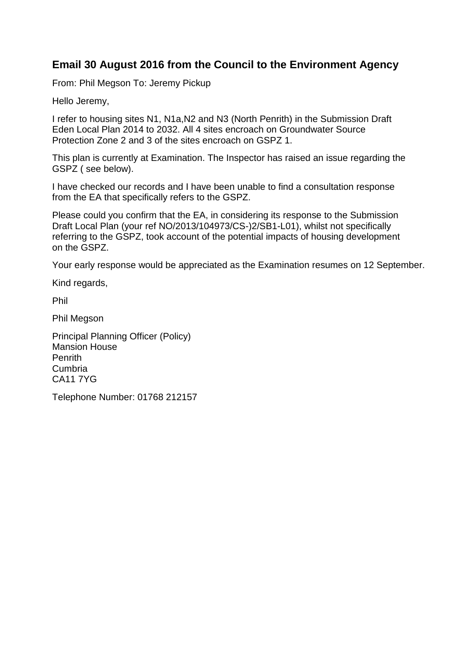## **Email 30 August 2016 from the Council to the Environment Agency**

From: Phil Megson To: Jeremy Pickup

Hello Jeremy,

I refer to housing sites N1, N1a,N2 and N3 (North Penrith) in the Submission Draft Eden Local Plan 2014 to 2032. All 4 sites encroach on Groundwater Source Protection Zone 2 and 3 of the sites encroach on GSPZ 1.

This plan is currently at Examination. The Inspector has raised an issue regarding the GSPZ ( see below).

I have checked our records and I have been unable to find a consultation response from the EA that specifically refers to the GSPZ.

Please could you confirm that the EA, in considering its response to the Submission Draft Local Plan (your ref NO/2013/104973/CS-)2/SB1-L01), whilst not specifically referring to the GSPZ, took account of the potential impacts of housing development on the GSPZ.

Your early response would be appreciated as the Examination resumes on 12 September.

Kind regards,

Phil

Phil Megson

Principal Planning Officer (Policy) Mansion House Penrith Cumbria CA11 7YG

Telephone Number: 01768 212157